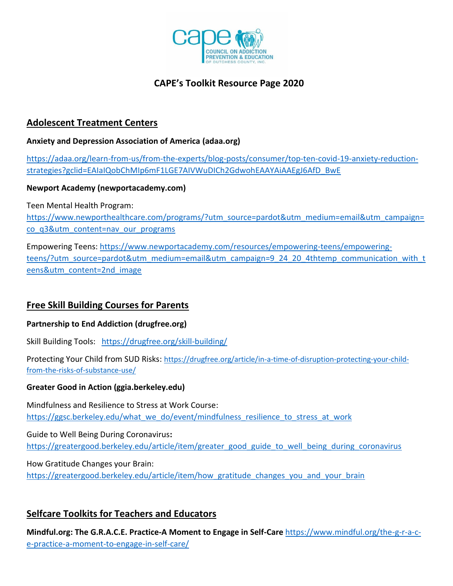

# **CAPE's Toolkit Resource Page 2020**

## **Adolescent Treatment Centers**

### **Anxiety and Depression Association of America (adaa.org)**

[https://adaa.org/learn-from-us/from-the-experts/blog-posts/consumer/top-ten-covid-19-anxiety-reduction](https://adaa.org/learn-from-us/from-the-experts/blog-posts/consumer/top-ten-covid-19-anxiety-reduction-strategies?gclid=EAIaIQobChMIp6mF1LGE7AIVWuDICh2GdwohEAAYAiAAEgJ6AfD_BwE)[strategies?gclid=EAIaIQobChMIp6mF1LGE7AIVWuDICh2GdwohEAAYAiAAEgJ6AfD\\_BwE](https://adaa.org/learn-from-us/from-the-experts/blog-posts/consumer/top-ten-covid-19-anxiety-reduction-strategies?gclid=EAIaIQobChMIp6mF1LGE7AIVWuDICh2GdwohEAAYAiAAEgJ6AfD_BwE)

### **Newport Academy (newportacademy.com)**

Teen Mental Health Program:

[https://www.newporthealthcare.com/programs/?utm\\_source=pardot&utm\\_medium=email&utm\\_campaign=](https://www.newporthealthcare.com/programs/?utm_source=pardot&utm_medium=email&utm_campaign=co_q3&utm_content=nav_our_programs) [co\\_q3&utm\\_content=nav\\_our\\_programs](https://www.newporthealthcare.com/programs/?utm_source=pardot&utm_medium=email&utm_campaign=co_q3&utm_content=nav_our_programs)

Empowering Teens: [https://www.newportacademy.com/resources/empowering-teens/empowering](https://www.newportacademy.com/resources/empowering-teens/empowering-teens/?utm_source=pardot&utm_medium=email&utm_campaign=9_24_20_4thtemp_communication_with_teens&utm_content=2nd_image)[teens/?utm\\_source=pardot&utm\\_medium=email&utm\\_campaign=9\\_24\\_20\\_4thtemp\\_communication\\_with\\_t](https://www.newportacademy.com/resources/empowering-teens/empowering-teens/?utm_source=pardot&utm_medium=email&utm_campaign=9_24_20_4thtemp_communication_with_teens&utm_content=2nd_image) [eens&utm\\_content=2nd\\_image](https://www.newportacademy.com/resources/empowering-teens/empowering-teens/?utm_source=pardot&utm_medium=email&utm_campaign=9_24_20_4thtemp_communication_with_teens&utm_content=2nd_image)

# **Free Skill Building Courses for Parents**

### **Partnership to End Addiction (drugfree.org)**

Skill Building Tools:<https://drugfree.org/skill-building/>

Protecting Your Child from SUD Risks: [https://drugfree.org/article/in-a-time-of-disruption-protecting-your-child](https://drugfree.org/article/in-a-time-of-disruption-protecting-your-child-from-the-risks-of-substance-use/)[from-the-risks-of-substance-use/](https://drugfree.org/article/in-a-time-of-disruption-protecting-your-child-from-the-risks-of-substance-use/)

### **Greater Good in Action (ggia.berkeley.edu)**

Mindfulness and Resilience to Stress at Work Course: [https://ggsc.berkeley.edu/what\\_we\\_do/event/mindfulness\\_resilience\\_to\\_stress\\_at\\_work](https://ggsc.berkeley.edu/what_we_do/event/mindfulness_resilience_to_stress_at_work)

Guide to Well Being During Coronavirus**:**  [https://greatergood.berkeley.edu/article/item/greater\\_good\\_guide\\_to\\_well\\_being\\_during\\_coronavirus](https://greatergood.berkeley.edu/article/item/greater_good_guide_to_well_being_during_coronavirus)

How Gratitude Changes your Brain: [https://greatergood.berkeley.edu/article/item/how\\_gratitude\\_changes\\_you\\_and\\_your\\_brain](https://greatergood.berkeley.edu/article/item/how_gratitude_changes_you_and_your_brain)

# **Selfcare Toolkits for Teachers and Educators**

**Mindful.org: The G.R.A.C.E. Practice-A Moment to Engage in Self-Care** [https://www.mindful.org/the-g-r-a-c](https://www.mindful.org/the-g-r-a-c-e-practice-a-moment-to-engage-in-self-care/)[e-practice-a-moment-to-engage-in-self-care/](https://www.mindful.org/the-g-r-a-c-e-practice-a-moment-to-engage-in-self-care/)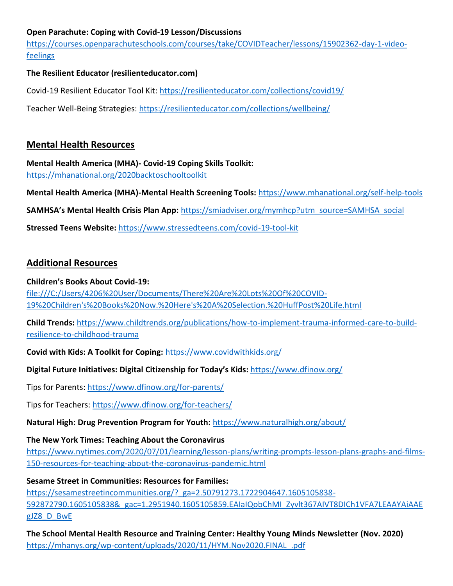## **Open Parachute: Coping with Covid-19 Lesson/Discussions**

[https://courses.openparachuteschools.com/courses/take/COVIDTeacher/lessons/15902362-day-1-video](https://courses.openparachuteschools.com/courses/take/COVIDTeacher/lessons/15902362-day-1-video-feelings)[feelings](https://courses.openparachuteschools.com/courses/take/COVIDTeacher/lessons/15902362-day-1-video-feelings)

## **The Resilient Educator (resilienteducator.com)**

Covid-19 Resilient Educator Tool Kit:<https://resilienteducator.com/collections/covid19/>

Teacher Well-Being Strategies:<https://resilienteducator.com/collections/wellbeing/>

## **Mental Health Resources**

**Mental Health America (MHA)- Covid-19 Coping Skills Toolkit:**  <https://mhanational.org/2020backtoschooltoolkit>

**Mental Health America (MHA)-Mental Health Screening Tools:** <https://www.mhanational.org/self-help-tools>

**SAMHSA's Mental Health Crisis Plan App:** [https://smiadviser.org/mymhcp?utm\\_source=SAMHSA\\_social](https://smiadviser.org/mymhcp?utm_source=SAMHSA_social)

**Stressed Teens Website:** <https://www.stressedteens.com/covid-19-tool-kit>

## **Additional Resources**

### **Children's Books About Covid-19:**

[file:///C:/Users/4206%20User/Documents/There%20Are%20Lots%20Of%20COVID-](file:///C:/Users/4206%20User/Documents/There%20Are%20Lots%20Of%20COVID-19%20Children)[19%20Children's%20Books%20Now.%20Here's%20A%20Selection.%20HuffPost%20Life.html](file:///C:/Users/4206%20User/Documents/There%20Are%20Lots%20Of%20COVID-19%20Children)

**Child Trends:** [https://www.childtrends.org/publications/how-to-implement-trauma-informed-care-to-build](https://www.childtrends.org/publications/how-to-implement-trauma-informed-care-to-build-resilience-to-childhood-trauma)[resilience-to-childhood-trauma](https://www.childtrends.org/publications/how-to-implement-trauma-informed-care-to-build-resilience-to-childhood-trauma)

**Covid with Kids: A Toolkit for Coping:** <https://www.covidwithkids.org/>

## **Digital Future Initiatives: Digital Citizenship for Today's Kids:** <https://www.dfinow.org/>

Tips for Parents: <https://www.dfinow.org/for-parents/>

Tips for Teachers:<https://www.dfinow.org/for-teachers/>

**Natural High: Drug Prevention Program for Youth:** <https://www.naturalhigh.org/about/>

### **The New York Times: Teaching About the Coronavirus**

[https://www.nytimes.com/2020/07/01/learning/lesson-plans/writing-prompts-lesson-plans-graphs-and-films-](https://www.nytimes.com/2020/07/01/learning/lesson-plans/writing-prompts-lesson-plans-graphs-and-films-150-resources-for-teaching-about-the-coronavirus-pandemic.html)[150-resources-for-teaching-about-the-coronavirus-pandemic.html](https://www.nytimes.com/2020/07/01/learning/lesson-plans/writing-prompts-lesson-plans-graphs-and-films-150-resources-for-teaching-about-the-coronavirus-pandemic.html)

### **Sesame Street in Communities: Resources for Families:**

https://sesamestreetincommunities.org/? ga=2.50791273.1722904647.1605105838-592872790.1605105838&\_gac=1.2951940.1605105859.EAIaIQobChMI\_Zyvlt367AIVT8DICh1VFA7LEAAYAiAAE gJZ8\_D\_BwE

**The School Mental Health Resource and Training Center: Healthy Young Minds Newsletter (Nov. 2020)**  [https://mhanys.org/wp-content/uploads/2020/11/HYM.Nov2020.FINAL\\_.pdf](https://mhanys.org/wp-content/uploads/2020/11/HYM.Nov2020.FINAL_.pdf)